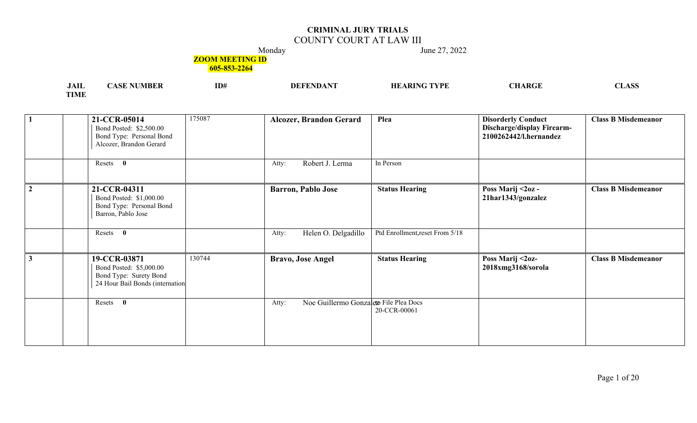## COUNTY COURT AT LAW III

Monday June 27, 2022

### **ZOOM MEETING ID**

| <b>JAIL</b> | MBER<br>ASE | ID# | A N'I<br><b>FFENDA</b><br>DEF | <b>ARING TYPE</b><br>HЕ | <b>CHARGE</b> | mт.<br>. Asc<br>מ <b>מע</b> זידר |
|-------------|-------------|-----|-------------------------------|-------------------------|---------------|----------------------------------|
| <b>TIME</b> |             |     |                               |                         |               |                                  |

|                | 21-CCR-05014<br>Bond Posted: \$2,500.00<br>Bond Type: Personal Bond<br>Alcozer, Brandon Gerard       | 175087 | <b>Alcozer, Brandon Gerard</b>                  | Plea                            | <b>Disorderly Conduct</b><br>Discharge/display Firearm-<br>2100262442/l.hernandez | <b>Class B Misdemeanor</b> |
|----------------|------------------------------------------------------------------------------------------------------|--------|-------------------------------------------------|---------------------------------|-----------------------------------------------------------------------------------|----------------------------|
|                | Resets 0                                                                                             |        | Robert J. Lerma<br>Atty:                        | In Person                       |                                                                                   |                            |
| $\overline{2}$ | 21-CCR-04311<br>Bond Posted: \$1,000.00<br>Bond Type: Personal Bond<br>Barron, Pablo Jose            |        | <b>Barron, Pablo Jose</b>                       | <b>Status Hearing</b>           | Poss Marij <2oz -<br>21har1343/gonzalez                                           | <b>Class B Misdemeanor</b> |
|                | Resets 0                                                                                             |        | Helen O. Delgadillo<br>Atty:                    | Ptd Enrollment, reset From 5/18 |                                                                                   |                            |
| $\mathbf{3}$   | 19-CCR-03871<br>Bond Posted: \$5,000.00<br>Bond Type: Surety Bond<br>24 Hour Bail Bonds (internation | 130744 | <b>Bravo, Jose Angel</b>                        | <b>Status Hearing</b>           | Poss Marij <2oz-<br>2018xmg3168/sorola                                            | <b>Class B Misdemeanor</b> |
|                | Resets 0                                                                                             |        | Noe Guillermo Gonzaleto File Plea Docs<br>Atty: | 20-CCR-00061                    |                                                                                   |                            |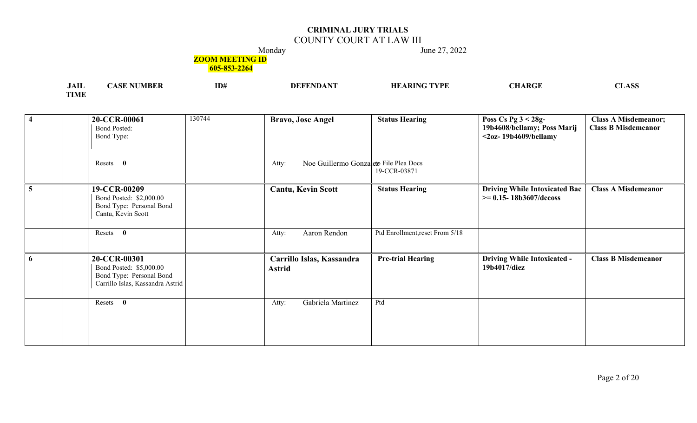## COUNTY COURT AT LAW III

Monday June 27, 2022

### **ZOOM MEETING ID**

| $\mathbf{A}$<br>JAIL | vı ist | ID# | DF | TVDI | ADCI | $\sim$<br>77 |
|----------------------|--------|-----|----|------|------|--------------|
| -----<br>            |        |     |    |      |      |              |

| $\overline{\mathbf{4}}$ | 20-CCR-00061<br>Bond Posted:<br>Bond Type:                                                              | 130744 | <b>Bravo, Jose Angel</b>                        | <b>Status Hearing</b>           | Poss Cs Pg $3 < 28g$ -<br>19b4608/bellamy; Poss Marij<br>$<$ 20z-19b4609/bellamy | <b>Class A Misdemeanor;</b><br><b>Class B Misdemeanor</b> |
|-------------------------|---------------------------------------------------------------------------------------------------------|--------|-------------------------------------------------|---------------------------------|----------------------------------------------------------------------------------|-----------------------------------------------------------|
|                         | $\mathbf{0}$<br>Resets                                                                                  |        | Noe Guillermo Gonzaleto File Plea Docs<br>Atty: | 19-CCR-03871                    |                                                                                  |                                                           |
|                         | 19-CCR-00209<br>Bond Posted: \$2,000.00<br>Bond Type: Personal Bond<br>Cantu, Kevin Scott               |        | <b>Cantu, Kevin Scott</b>                       | <b>Status Hearing</b>           | <b>Driving While Intoxicated Bac</b><br>$\ge$ = 0.15- 18b3607/decoss             | <b>Class A Misdemeanor</b>                                |
|                         | $\bf{0}$<br>Resets                                                                                      |        | Aaron Rendon<br>Atty:                           | Ptd Enrollment, reset From 5/18 |                                                                                  |                                                           |
| 6                       | 20-CCR-00301<br>Bond Posted: \$5,000.00<br>Bond Type: Personal Bond<br>Carrillo Islas, Kassandra Astrid |        | Carrillo Islas, Kassandra<br><b>Astrid</b>      | <b>Pre-trial Hearing</b>        | <b>Driving While Intoxicated -</b><br>19b4017/diez                               | <b>Class B Misdemeanor</b>                                |
|                         | Resets 0                                                                                                |        | Gabriela Martinez<br>Atty:                      | Ptd                             |                                                                                  |                                                           |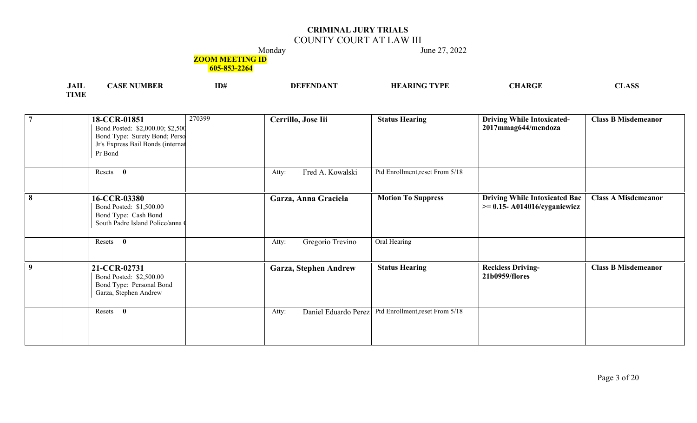## COUNTY COURT AT LAW III

Monday June 27, 2022

### **ZOOM MEETING ID**

| <b>JAIL</b> | ASE | ID# | <b>DEFEND</b> | ARING TYPE:<br>НF | $\alpha$ u a d $\alpha$ e<br>wac | $\triangle$ CC<br>פפעזידי |
|-------------|-----|-----|---------------|-------------------|----------------------------------|---------------------------|
| <b>TIME</b> |     |     |               |                   |                                  |                           |

| $\overline{7}$ | 18-CCR-01851<br>Bond Posted: \$2,000.00; \$2,500<br>Bond Type: Surety Bond; Perso<br>Jr's Express Bail Bonds (internat<br>Pr Bond | 270399 | Cerrillo, Jose Iii            | <b>Status Hearing</b>           | <b>Driving While Intoxicated-</b><br>2017mmag644/mendoza                  | <b>Class B Misdemeanor</b> |
|----------------|-----------------------------------------------------------------------------------------------------------------------------------|--------|-------------------------------|---------------------------------|---------------------------------------------------------------------------|----------------------------|
|                | Resets 0                                                                                                                          |        | Fred A. Kowalski<br>Atty:     | Ptd Enrollment, reset From 5/18 |                                                                           |                            |
| 8              | 16-CCR-03380<br>Bond Posted: \$1,500.00<br>Bond Type: Cash Bond<br>South Padre Island Police/anna O                               |        | Garza, Anna Graciela          | <b>Motion To Suppress</b>       | <b>Driving While Intoxicated Bac</b><br>$\ge$ = 0.15- A014016/cyganiewicz | <b>Class A Misdemeanor</b> |
|                | Resets 0                                                                                                                          |        | Gregorio Trevino<br>Atty:     | Oral Hearing                    |                                                                           |                            |
| 9              | 21-CCR-02731<br>Bond Posted: \$2,500.00<br>Bond Type: Personal Bond<br>Garza, Stephen Andrew                                      |        | Garza, Stephen Andrew         | <b>Status Hearing</b>           | <b>Reckless Driving-</b><br>21b0959/flores                                | <b>Class B Misdemeanor</b> |
|                | $\bf{0}$<br>Resets                                                                                                                |        | Daniel Eduardo Perez<br>Atty: | Ptd Enrollment, reset From 5/18 |                                                                           |                            |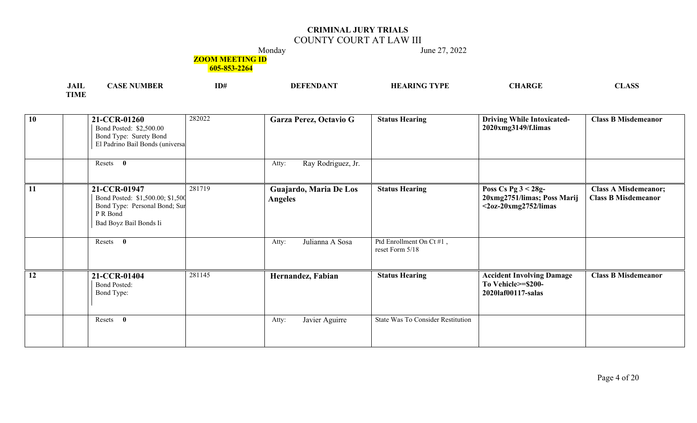## COUNTY COURT AT LAW III

Monday June 27, 2022

#### **ZOOM MEETING ID**

| JAIL        | <b>NUMBER</b><br>'ASE. | ID# | $\neg$ FENDAN | 'ARING TYPE<br>HЕ | <b>CHARGE</b> | mт.<br>ACC<br><b>ADL</b> |
|-------------|------------------------|-----|---------------|-------------------|---------------|--------------------------|
| <b>TIME</b> |                        |     |               |                   |               |                          |

| 10 | 282022<br>21-CCR-01260<br>Bond Posted: \$2,500.00<br>Bond Type: Surety Bond<br>El Padrino Bail Bonds (universa                    | Garza Perez, Octavio G                   | <b>Status Hearing</b>                       | <b>Driving While Intoxicated-</b><br>2020xmg3149/f.limas                         | <b>Class B Misdemeanor</b>                                |
|----|-----------------------------------------------------------------------------------------------------------------------------------|------------------------------------------|---------------------------------------------|----------------------------------------------------------------------------------|-----------------------------------------------------------|
|    | Resets 0                                                                                                                          | Ray Rodriguez, Jr.<br>Atty:              |                                             |                                                                                  |                                                           |
| 11 | 281719<br>21-CCR-01947<br>Bond Posted: \$1,500.00; \$1,500<br>Bond Type: Personal Bond; Sur<br>P R Bond<br>Bad Boyz Bail Bonds Ii | Guajardo, Maria De Los<br><b>Angeles</b> | <b>Status Hearing</b>                       | Poss Cs Pg $3 < 28g$ -<br>20xmg2751/limas; Poss Marij<br>$<$ 20z-20xmg2752/limas | <b>Class A Misdemeanor;</b><br><b>Class B Misdemeanor</b> |
|    | Resets 0                                                                                                                          | Julianna A Sosa<br>Atty:                 | Ptd Enrollment On Ct #1,<br>reset Form 5/18 |                                                                                  |                                                           |
| 12 | 281145<br>21-CCR-01404<br><b>Bond Posted:</b><br>Bond Type:                                                                       | Hernandez, Fabian                        | <b>Status Hearing</b>                       | <b>Accident Involving Damage</b><br>To Vehicle>=\$200-<br>2020laf00117-salas     | <b>Class B Misdemeanor</b>                                |
|    | Resets<br>$\bf{0}$                                                                                                                | Javier Aguirre<br>Atty:                  | State Was To Consider Restitution           |                                                                                  |                                                           |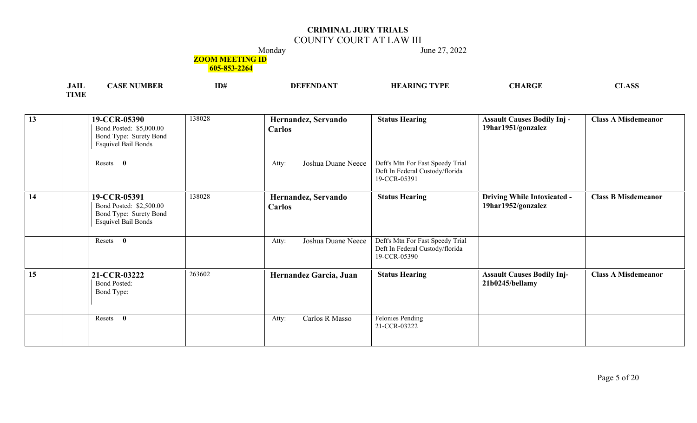## COUNTY COURT AT LAW III

Monday June 27, 2022

#### **ZOOM MEETING ID**

| <b>TATE</b><br>JAIL | <b>NUMBER</b><br>ASF | ID# | NG TYPE<br>HE.<br>\ DTN | CHARGE | NТ<br>$\triangle$ CF<br>$\sim$ $\sim$ $\sim$ $\sim$ $\sim$ |
|---------------------|----------------------|-----|-------------------------|--------|------------------------------------------------------------|
| <b>TIME</b>         |                      |     |                         |        |                                                            |

| 13 | 19-CCR-05390<br>Bond Posted: \$5,000.00<br>Bond Type: Surety Bond<br><b>Esquivel Bail Bonds</b> | 138028 | Hernandez, Servando<br><b>Carlos</b> | <b>Status Hearing</b>                                                               | <b>Assault Causes Bodily Inj -</b><br>19har1951/gonzalez | <b>Class A Misdemeanor</b> |
|----|-------------------------------------------------------------------------------------------------|--------|--------------------------------------|-------------------------------------------------------------------------------------|----------------------------------------------------------|----------------------------|
|    | Resets 0                                                                                        |        | Joshua Duane Neece<br>Atty:          | Deft's Mtn For Fast Speedy Trial<br>Deft In Federal Custody/florida<br>19-CCR-05391 |                                                          |                            |
| 14 | 19-CCR-05391<br>Bond Posted: \$2,500.00<br>Bond Type: Surety Bond<br><b>Esquivel Bail Bonds</b> | 138028 | Hernandez, Servando<br><b>Carlos</b> | <b>Status Hearing</b>                                                               | <b>Driving While Intoxicated -</b><br>19har1952/gonzalez | <b>Class B Misdemeanor</b> |
|    | Resets 0                                                                                        |        | Joshua Duane Neece<br>Atty:          | Deft's Mtn For Fast Speedy Trial<br>Deft In Federal Custody/florida<br>19-CCR-05390 |                                                          |                            |
| 15 | 21-CCR-03222<br><b>Bond Posted:</b><br>Bond Type:                                               | 263602 | Hernandez Garcia, Juan               | <b>Status Hearing</b>                                                               | <b>Assault Causes Bodily Inj-</b><br>21b0245/bellamy     | <b>Class A Misdemeanor</b> |
|    | Resets<br>$\mathbf{0}$                                                                          |        | Carlos R Masso<br>Atty:              | Felonies Pending<br>21-CCR-03222                                                    |                                                          |                            |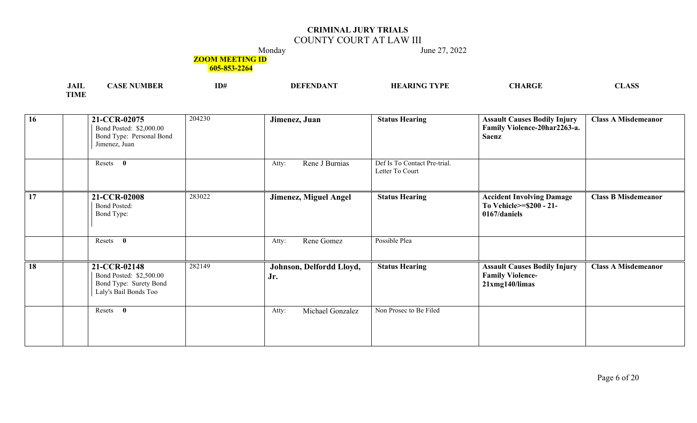## COUNTY COURT AT LAW III

Monday June 27, 2022

### **ZOOM MEETING ID**

| , 111         | ID# | 'VDE | <b>***</b><br>$\rightarrow$ ADC <sup>-</sup> | $\sim$ |
|---------------|-----|------|----------------------------------------------|--------|
| <b>THE CH</b> |     |      |                                              |        |

| 16        | 21-CCR-02075<br>Bond Posted: \$2,000.00<br>Bond Type: Personal Bond<br>Jimenez, Juan       | 204230 | Jimenez, Juan                   | <b>Status Hearing</b>                           | <b>Assault Causes Bodily Injury</b><br>Family Violence-20har2263-a.<br><b>Saenz</b> | <b>Class A Misdemeanor</b> |
|-----------|--------------------------------------------------------------------------------------------|--------|---------------------------------|-------------------------------------------------|-------------------------------------------------------------------------------------|----------------------------|
|           | Resets 0                                                                                   |        | Rene J Burnias<br>Atty:         | Def Is To Contact Pre-trial.<br>Letter To Court |                                                                                     |                            |
| 17        | 21-CCR-02008<br><b>Bond Posted:</b><br>Bond Type:                                          | 283022 | Jimenez, Miguel Angel           | <b>Status Hearing</b>                           | <b>Accident Involving Damage</b><br>To Vehicle>=\$200 - 21-<br>0167/daniels         | <b>Class B Misdemeanor</b> |
|           | Resets 0                                                                                   |        | Rene Gomez<br>Atty:             | Possible Plea                                   |                                                                                     |                            |
| <b>18</b> | 21-CCR-02148<br>Bond Posted: \$2,500.00<br>Bond Type: Surety Bond<br>Laly's Bail Bonds Too | 282149 | Johnson, Delfordd Lloyd,<br>Jr. | <b>Status Hearing</b>                           | <b>Assault Causes Bodily Injury</b><br><b>Family Violence-</b><br>$21xmg140$ /limas | <b>Class A Misdemeanor</b> |
|           | Resets 0                                                                                   |        | Michael Gonzalez<br>Atty:       | Non Prosec to Be Filed                          |                                                                                     |                            |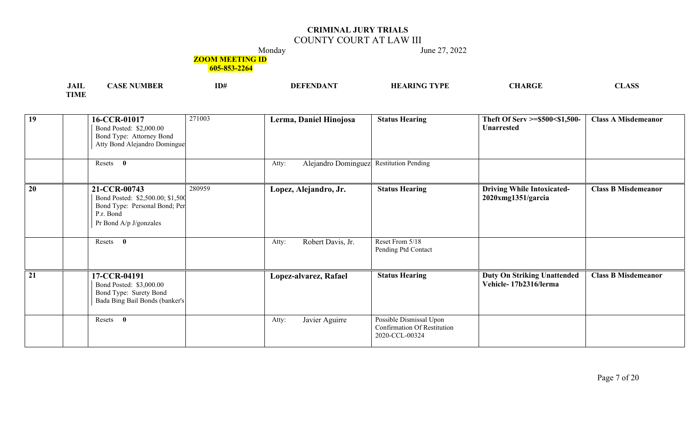## COUNTY COURT AT LAW III

Monday June 27, 2022

#### **ZOOM MEETING ID**

| .<br>JALL      | ID# | IIH | TVDL<br>$\rightarrow$ A DIP<br>м<br>п | I D C L | ∩ מ<br>へいし |
|----------------|-----|-----|---------------------------------------|---------|------------|
| TIME<br>LIVLE: |     |     |                                       |         |            |

| 19 | 16-CCR-01017<br>Bond Posted: \$2,000.00<br>Bond Type: Attorney Bond<br>Atty Bond Alejandro Domingue                      | 271003 | Lerma, Daniel Hinojosa                           | <b>Status Hearing</b>                                                           | Theft Of Serv >=\$500<\$1,500-<br><b>Unarrested</b>            | <b>Class A Misdemeanor</b> |
|----|--------------------------------------------------------------------------------------------------------------------------|--------|--------------------------------------------------|---------------------------------------------------------------------------------|----------------------------------------------------------------|----------------------------|
|    | Resets 0                                                                                                                 |        | Alejandro Dominguez Restitution Pending<br>Atty: |                                                                                 |                                                                |                            |
| 20 | 21-CCR-00743<br>Bond Posted: \$2,500.00; \$1,500<br>Bond Type: Personal Bond; Per<br>P.r. Bond<br>Pr Bond A/p J/gonzales | 280959 | Lopez, Alejandro, Jr.                            | <b>Status Hearing</b>                                                           | <b>Driving While Intoxicated-</b><br>$2020$ xmg $1351$ /garcia | <b>Class B Misdemeanor</b> |
|    | Resets 0                                                                                                                 |        | Robert Davis, Jr.<br>Atty:                       | Reset From 5/18<br>Pending Ptd Contact                                          |                                                                |                            |
| 21 | 17-CCR-04191<br>Bond Posted: \$3,000.00<br>Bond Type: Surety Bond<br>Bada Bing Bail Bonds (banker's                      |        | Lopez-alvarez, Rafael                            | <b>Status Hearing</b>                                                           | <b>Duty On Striking Unattended</b><br>Vehicle-17b2316/lerma    | <b>Class B Misdemeanor</b> |
|    | Resets<br>$\bf{0}$                                                                                                       |        | Javier Aguirre<br>Atty:                          | Possible Dismissal Upon<br><b>Confirmation Of Restitution</b><br>2020-CCL-00324 |                                                                |                            |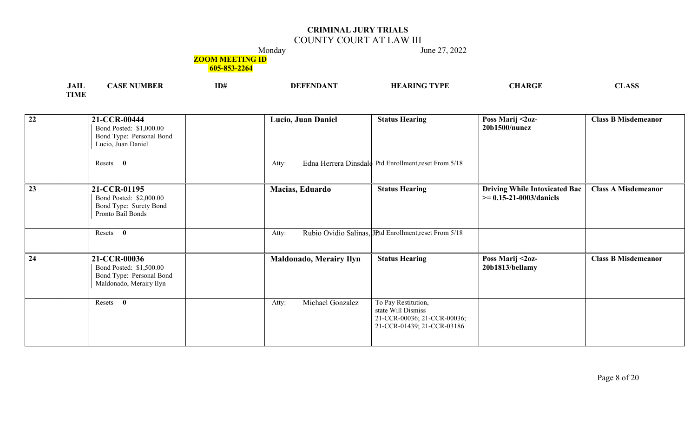## COUNTY COURT AT LAW III

Monday June 27, 2022

### **ZOOM MEETING ID**

| .<br>சுபட | 10 T | ID# | VDI<br>ப | <b>ATI</b><br>۰D) | $\sqrt{2}$ |
|-----------|------|-----|----------|-------------------|------------|
| TIME      |      |     |          |                   |            |

| $\overline{22}$ | 21-CCR-00444<br>Bond Posted: \$1,000.00<br>Bond Type: Personal Bond<br>Lucio, Juan Daniel      | Lucio, Juan Daniel        | <b>Status Hearing</b>                                                                                  | Poss Marij <2oz-<br>$20b1500/n$ unez                                 | <b>Class B Misdemeanor</b> |
|-----------------|------------------------------------------------------------------------------------------------|---------------------------|--------------------------------------------------------------------------------------------------------|----------------------------------------------------------------------|----------------------------|
|                 | Resets 0                                                                                       | Atty:                     | Edna Herrera Dinsdale Ptd Enrollment, reset From 5/18                                                  |                                                                      |                            |
| 23              | 21-CCR-01195<br>Bond Posted: \$2,000.00<br>Bond Type: Surety Bond<br>Pronto Bail Bonds         | Macias, Eduardo           | <b>Status Hearing</b>                                                                                  | <b>Driving While Intoxicated Bac</b><br>$\ge$ = 0.15-21-0003/daniels | <b>Class A Misdemeanor</b> |
|                 | Resets 0                                                                                       | Atty:                     | Rubio Ovidio Salinas, JPtd Enrollment, reset From 5/18                                                 |                                                                      |                            |
| 24              | 21-CCR-00036<br>Bond Posted: \$1,500.00<br>Bond Type: Personal Bond<br>Maldonado, Merairy Ilyn | Maldonado, Merairy Ilyn   | <b>Status Hearing</b>                                                                                  | Poss Marij <2oz-<br>20b1813/bellamy                                  | <b>Class B Misdemeanor</b> |
|                 | Resets 0                                                                                       | Michael Gonzalez<br>Atty: | To Pay Restitution,<br>state Will Dismiss<br>21-CCR-00036; 21-CCR-00036;<br>21-CCR-01439; 21-CCR-03186 |                                                                      |                            |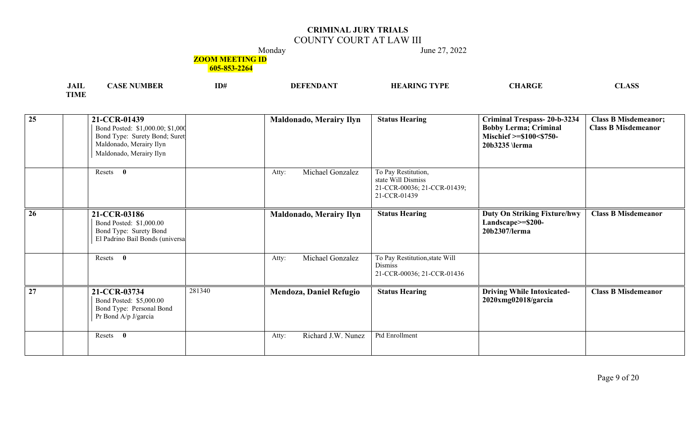## COUNTY COURT AT LAW III

Monday June 27, 2022

#### **ZOOM MEETING ID**

| <b>JAIL</b> | <b>NUMBER</b><br><b>АЛ.</b> | ID# | DEE | <b>TYPE</b><br>ARINC | $\sim$ tt<br>ARGE | $\triangle$ $\triangle$ $\triangle$<br>LASS.<br>$\sim$ $\sim$ $\sim$ $\sim$ |
|-------------|-----------------------------|-----|-----|----------------------|-------------------|-----------------------------------------------------------------------------|
| <b>TIME</b> |                             |     |     |                      |                   |                                                                             |

| $\overline{25}$ | 21-CCR-01439<br>Bond Posted: \$1,000.00; \$1,000<br>Bond Type: Surety Bond; Suret<br>Maldonado, Merairy Ilyn<br>Maldonado, Merairy Ilyn |        | <b>Maldonado, Merairy Ilyn</b> | <b>Status Hearing</b>                                                                    | <b>Criminal Trespass-20-b-3234</b><br><b>Bobby Lerma; Criminal</b><br>Mischief >=\$100<\$750-<br>20b3235 \lerma | <b>Class B Misdemeanor;</b><br><b>Class B Misdemeanor</b> |
|-----------------|-----------------------------------------------------------------------------------------------------------------------------------------|--------|--------------------------------|------------------------------------------------------------------------------------------|-----------------------------------------------------------------------------------------------------------------|-----------------------------------------------------------|
|                 | Resets 0                                                                                                                                |        | Michael Gonzalez<br>Atty:      | To Pay Restitution,<br>state Will Dismiss<br>21-CCR-00036; 21-CCR-01439;<br>21-CCR-01439 |                                                                                                                 |                                                           |
| 26              | 21-CCR-03186<br>Bond Posted: \$1,000.00<br>Bond Type: Surety Bond<br>El Padrino Bail Bonds (universa                                    |        | <b>Maldonado, Merairy Ilyn</b> | <b>Status Hearing</b>                                                                    | <b>Duty On Striking Fixture/hwy</b><br>Landscape>=\$200-<br>20b2307/lerma                                       | <b>Class B Misdemeanor</b>                                |
|                 | Resets<br>$\mathbf{0}$                                                                                                                  |        | Michael Gonzalez<br>Atty:      | To Pay Restitution, state Will<br><b>Dismiss</b><br>21-CCR-00036; 21-CCR-01436           |                                                                                                                 |                                                           |
| $\overline{27}$ | 21-CCR-03734<br>Bond Posted: \$5,000.00<br>Bond Type: Personal Bond<br>Pr Bond A/p J/garcia                                             | 281340 | <b>Mendoza, Daniel Refugio</b> | <b>Status Hearing</b>                                                                    | <b>Driving While Intoxicated-</b><br>2020xmg02018/garcia                                                        | <b>Class B Misdemeanor</b>                                |
|                 | $\bf{0}$<br>Resets                                                                                                                      |        | Richard J.W. Nunez<br>Atty:    | Ptd Enrollment                                                                           |                                                                                                                 |                                                           |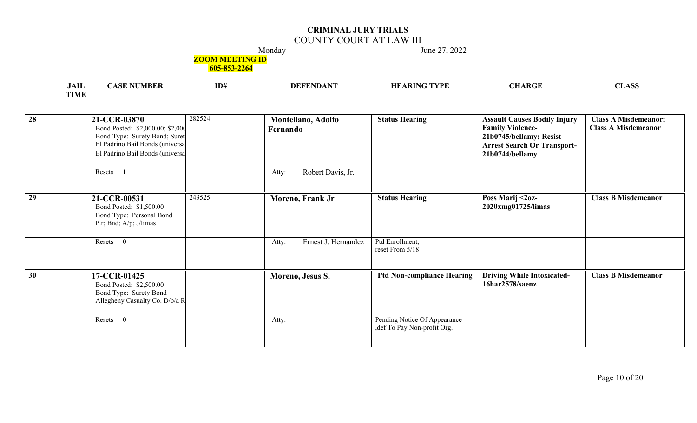## COUNTY COURT AT LAW III

Monday June 27, 2022

#### **ZOOM MEETING ID**

| .<br>JAIL   | ' NUMBER<br>ASF | ID# | NG TYPE<br><b>HEARIN</b> | CHARGE | $\triangle$ CC<br>$\sim$ $\sim$<br>11. LLJ L<br>the contract of the contract of the contract of the contract of the contract of |
|-------------|-----------------|-----|--------------------------|--------|---------------------------------------------------------------------------------------------------------------------------------|
| <b>TIME</b> |                 |     |                          |        |                                                                                                                                 |

| $\overline{28}$ | 21-CCR-03870<br>Bond Posted: \$2,000.00; \$2,000<br>Bond Type: Surety Bond; Suret<br>El Padrino Bail Bonds (universa<br>El Padrino Bail Bonds (universa<br>Resets<br>$\blacksquare$ | 282524 | Montellano, Adolfo<br>Fernando                 | <b>Status Hearing</b>                                        | <b>Assault Causes Bodily Injury</b><br><b>Family Violence-</b><br>21b0745/bellamy; Resist<br><b>Arrest Search Or Transport-</b><br>21b0744/bellamy | <b>Class A Misdemeanor;</b><br><b>Class A Misdemeanor</b> |
|-----------------|-------------------------------------------------------------------------------------------------------------------------------------------------------------------------------------|--------|------------------------------------------------|--------------------------------------------------------------|----------------------------------------------------------------------------------------------------------------------------------------------------|-----------------------------------------------------------|
| $\overline{29}$ | 21-CCR-00531<br>Bond Posted: \$1,500.00<br>Bond Type: Personal Bond<br>P.r; Bnd; A/p; J/limas                                                                                       | 243525 | Robert Davis, Jr.<br>Atty:<br>Moreno, Frank Jr | <b>Status Hearing</b>                                        | Poss Marij <2oz-<br>2020xmg01725/limas                                                                                                             | <b>Class B Misdemeanor</b>                                |
|                 | Resets 0                                                                                                                                                                            |        | Ernest J. Hernandez<br>Atty:                   | Ptd Enrollment,<br>reset From 5/18                           |                                                                                                                                                    |                                                           |
| 30              | 17-CCR-01425<br>Bond Posted: \$2,500.00<br>Bond Type: Surety Bond<br>Allegheny Casualty Co. D/b/a R                                                                                 |        | Moreno, Jesus S.                               | <b>Ptd Non-compliance Hearing</b>                            | <b>Driving While Intoxicated-</b><br>16har2578/saenz                                                                                               | <b>Class B Misdemeanor</b>                                |
|                 | Resets 0                                                                                                                                                                            |        | Atty:                                          | Pending Notice Of Appearance<br>, def To Pay Non-profit Org. |                                                                                                                                                    |                                                           |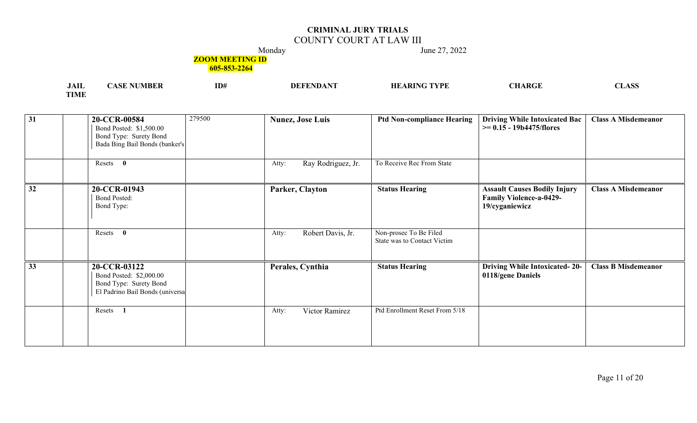## COUNTY COURT AT LAW III

Monday June 27, 2022

### **ZOOM MEETING ID**

| <b>JAIL</b> | .ASE *<br>™DLN | ID# | DE.<br>NDA | NG TYPE<br>HF<br>\RIN | CHARGE | $\triangle$ CC<br><i>טפעדי</i> די |
|-------------|----------------|-----|------------|-----------------------|--------|-----------------------------------|
| <b>TIME</b> |                |     |            |                       |        |                                   |

| $\overline{31}$ | 20-CCR-00584<br>Bond Posted: \$1,500.00<br>Bond Type: Surety Bond<br>Bada Bing Bail Bonds (banker's  | 279500 | <b>Nunez, Jose Luis</b>     | <b>Ptd Non-compliance Hearing</b>                     | <b>Driving While Intoxicated Bac</b><br>$\ge$ = 0.15 - 19b4475/flores                   | <b>Class A Misdemeanor</b> |
|-----------------|------------------------------------------------------------------------------------------------------|--------|-----------------------------|-------------------------------------------------------|-----------------------------------------------------------------------------------------|----------------------------|
|                 | Resets 0                                                                                             |        | Ray Rodriguez, Jr.<br>Atty: | To Receive Rec From State                             |                                                                                         |                            |
| 32              | 20-CCR-01943<br><b>Bond Posted:</b><br>Bond Type:                                                    |        | Parker, Clayton             | <b>Status Hearing</b>                                 | <b>Assault Causes Bodily Injury</b><br><b>Family Violence-a-0429-</b><br>19/cyganiewicz | <b>Class A Misdemeanor</b> |
|                 | $\mathbf{0}$<br>Resets                                                                               |        | Robert Davis, Jr.<br>Atty:  | Non-prosec To Be Filed<br>State was to Contact Victim |                                                                                         |                            |
| $\overline{33}$ | 20-CCR-03122<br>Bond Posted: \$2,000.00<br>Bond Type: Surety Bond<br>El Padrino Bail Bonds (universa |        | Perales, Cynthia            | <b>Status Hearing</b>                                 | <b>Driving While Intoxicated-20-</b><br>0118/gene Daniels                               | <b>Class B Misdemeanor</b> |
|                 | Resets 1                                                                                             |        | Victor Ramirez<br>Atty:     | Ptd Enrollment Reset From 5/18                        |                                                                                         |                            |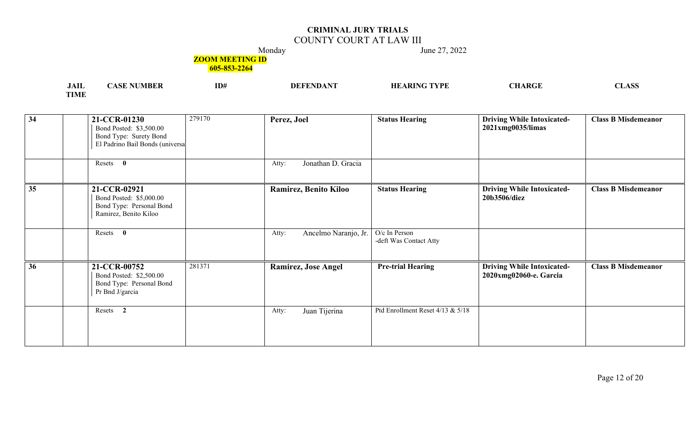## COUNTY COURT AT LAW III

Monday June 27, 2022

### **ZOOM MEETING ID**

| <b>JAIL</b> | <b>NUMBER</b> | ID# | DЕ<br>NIJA | ; TYPE<br>$\triangle$ ARIN $\subset$<br>HF | <b>CHARGE</b> | $\triangle$ CC<br>n.<br>ℒℷℷℷ |
|-------------|---------------|-----|------------|--------------------------------------------|---------------|------------------------------|
| <b>TIME</b> |               |     |            |                                            |               |                              |

| $\overline{34}$ | 21-CCR-01230<br>Bond Posted: \$3,500.00<br>Bond Type: Surety Bond<br>El Padrino Bail Bonds (universa | 279170 | Perez, Joel                   | <b>Status Hearing</b>                   | <b>Driving While Intoxicated-</b><br>2021xmg0035/limas      | <b>Class B Misdemeanor</b> |
|-----------------|------------------------------------------------------------------------------------------------------|--------|-------------------------------|-----------------------------------------|-------------------------------------------------------------|----------------------------|
|                 | Resets 0                                                                                             |        | Jonathan D. Gracia<br>Atty:   |                                         |                                                             |                            |
| 35              | 21-CCR-02921<br>Bond Posted: \$5,000.00<br>Bond Type: Personal Bond<br>Ramirez, Benito Kiloo         |        | Ramirez, Benito Kiloo         | <b>Status Hearing</b>                   | <b>Driving While Intoxicated-</b><br>20b3506/diez           | <b>Class B Misdemeanor</b> |
|                 | Resets 0                                                                                             |        | Ancelmo Naranjo, Jr.<br>Atty: | O/c In Person<br>-deft Was Contact Atty |                                                             |                            |
| $\overline{36}$ | 21-CCR-00752<br>Bond Posted: \$2,500.00<br>Bond Type: Personal Bond<br>Pr Bnd J/garcia               | 281371 | <b>Ramirez, Jose Angel</b>    | <b>Pre-trial Hearing</b>                | <b>Driving While Intoxicated-</b><br>2020xmg02060-e. Garcia | <b>Class B Misdemeanor</b> |
|                 | Resets 2                                                                                             |        | Juan Tijerina<br>Atty:        | Ptd Enrollment Reset 4/13 & 5/18        |                                                             |                            |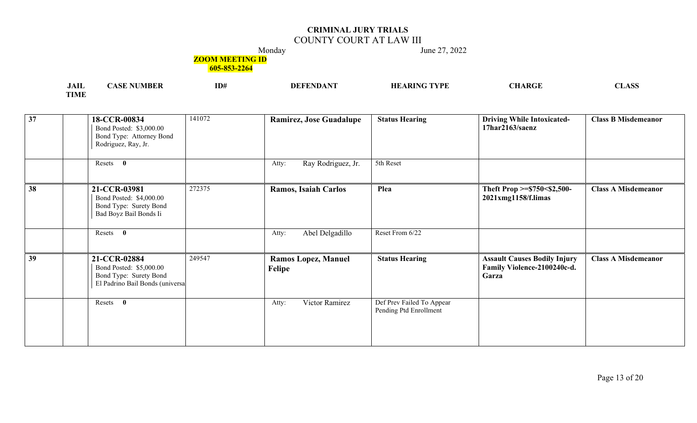## COUNTY COURT AT LAW III

Monday June 27, 2022

### **ZOOM MEETING ID**

| , 11 1                | ID# | 'VDE | <b>ATT</b><br>$\rightarrow$ ADC <sup>-</sup> | $\mathbf{C}$ |
|-----------------------|-----|------|----------------------------------------------|--------------|
| <b>TOTA AT</b><br>пун |     |      |                                              |              |

| $\overline{37}$ | 18-CCR-00834<br>Bond Posted: \$3,000.00<br>Bond Type: Attorney Bond<br>Rodriguez, Ray, Jr.           | 141072 | <b>Ramirez, Jose Guadalupe</b>       | <b>Status Hearing</b>                               | <b>Driving While Intoxicated-</b><br>17har2163/saenz                        | <b>Class B Misdemeanor</b> |
|-----------------|------------------------------------------------------------------------------------------------------|--------|--------------------------------------|-----------------------------------------------------|-----------------------------------------------------------------------------|----------------------------|
|                 | Resets 0                                                                                             |        | Ray Rodriguez, Jr.<br>Atty:          | 5th Reset                                           |                                                                             |                            |
| 38              | 21-CCR-03981<br>Bond Posted: \$4,000.00<br>Bond Type: Surety Bond<br>Bad Boyz Bail Bonds Ii          | 272375 | Ramos, Isaiah Carlos                 | Plea                                                | Theft Prop >=\$750<\$2,500-<br>2021xmg1158/f.limas                          | <b>Class A Misdemeanor</b> |
|                 | Resets 0                                                                                             |        | Abel Delgadillo<br>Atty:             | Reset From 6/22                                     |                                                                             |                            |
| 39              | 21-CCR-02884<br>Bond Posted: \$5,000.00<br>Bond Type: Surety Bond<br>El Padrino Bail Bonds (universa | 249547 | <b>Ramos Lopez, Manuel</b><br>Felipe | <b>Status Hearing</b>                               | <b>Assault Causes Bodily Injury</b><br>Family Violence-2100240c-d.<br>Garza | <b>Class A Misdemeanor</b> |
|                 | Resets 0                                                                                             |        | Victor Ramirez<br>Atty:              | Def Prev Failed To Appear<br>Pending Ptd Enrollment |                                                                             |                            |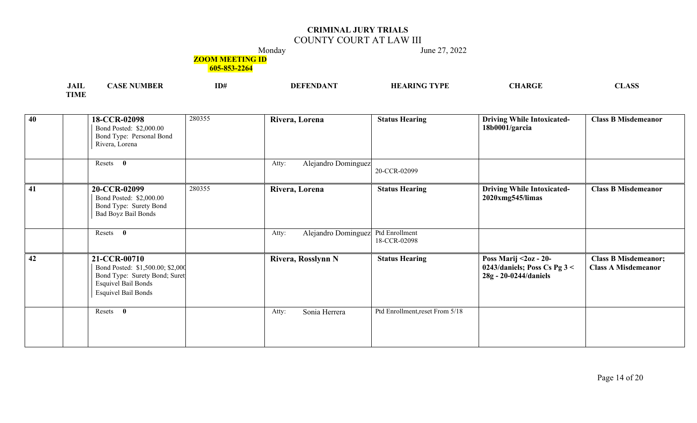## COUNTY COURT AT LAW III

Monday June 27, 2022

#### **ZOOM MEETING ID**

| $\mathbf{A}$<br>JAIL | MBER<br>$\Delta$ | ID# | <b>TYPE</b><br>A DINT<br>HF | CHARGE | ACC<br>$\sim$ $\blacksquare$<br>$      -$ |
|----------------------|------------------|-----|-----------------------------|--------|-------------------------------------------|
| <b>TIME</b>          |                  |     |                             |        |                                           |

| 40              | 18-CCR-02098<br>Bond Posted: \$2,000.00<br>Bond Type: Personal Bond<br>Rivera, Lorena                                                         | 280355 | Rivera, Lorena               | <b>Status Hearing</b>           | <b>Driving While Intoxicated-</b><br>18b0001/garcia                             | <b>Class B Misdemeanor</b>                                |
|-----------------|-----------------------------------------------------------------------------------------------------------------------------------------------|--------|------------------------------|---------------------------------|---------------------------------------------------------------------------------|-----------------------------------------------------------|
|                 | Resets 0                                                                                                                                      |        | Alejandro Dominguez<br>Atty: | 20-CCR-02099                    |                                                                                 |                                                           |
| 41              | 20-CCR-02099<br>Bond Posted: \$2,000.00<br>Bond Type: Surety Bond<br><b>Bad Boyz Bail Bonds</b>                                               | 280355 | Rivera, Lorena               | <b>Status Hearing</b>           | <b>Driving While Intoxicated-</b><br>2020xmg545/limas                           | <b>Class B Misdemeanor</b>                                |
|                 | Resets 0                                                                                                                                      |        | Alejandro Dominguez<br>Atty: | Ptd Enrollment<br>18-CCR-02098  |                                                                                 |                                                           |
| $\overline{42}$ | 21-CCR-00710<br>Bond Posted: \$1,500.00; \$2,000<br>Bond Type: Surety Bond; Suret<br><b>Esquivel Bail Bonds</b><br><b>Esquivel Bail Bonds</b> |        | Rivera, Rosslynn N           | <b>Status Hearing</b>           | Poss Marij < 20z - 20-<br>0243/daniels; Poss Cs Pg 3 <<br>28g - 20-0244/daniels | <b>Class B Misdemeanor;</b><br><b>Class A Misdemeanor</b> |
|                 | Resets 0                                                                                                                                      |        | Sonia Herrera<br>Atty:       | Ptd Enrollment, reset From 5/18 |                                                                                 |                                                           |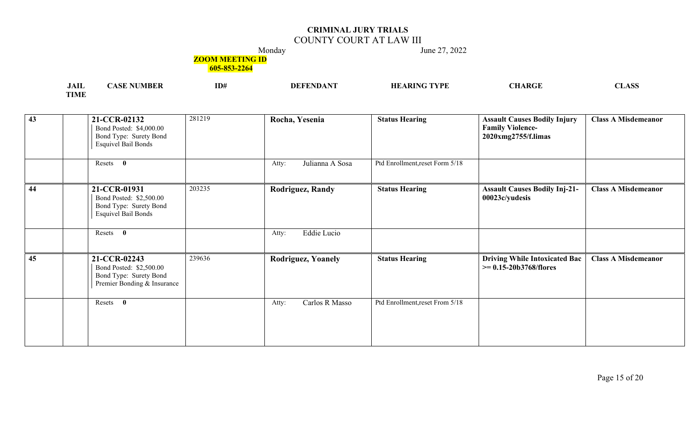## COUNTY COURT AT LAW III

Monday June 27, 2022

### **ZOOM MEETING ID**

| $\mathbf{A}$<br>JAIL | MBER<br>АSІ | ID# | -DET | ARING TYPE | CHARGE | $\triangle$ CC<br>nt.<br>the contract of the contract of the contract of the contract of the contract of |
|----------------------|-------------|-----|------|------------|--------|----------------------------------------------------------------------------------------------------------|
| <b>TIME</b>          |             |     |      |            |        |                                                                                                          |

| 43 | 21-CCR-02132<br>Bond Posted: \$4,000.00<br>Bond Type: Surety Bond<br><b>Esquivel Bail Bonds</b>  | 281219 | Rocha, Yesenia           | <b>Status Hearing</b>           | <b>Assault Causes Bodily Injury</b><br><b>Family Violence-</b><br>2020xmg2755/f.limas | <b>Class A Misdemeanor</b> |
|----|--------------------------------------------------------------------------------------------------|--------|--------------------------|---------------------------------|---------------------------------------------------------------------------------------|----------------------------|
|    | Resets 0                                                                                         |        | Julianna A Sosa<br>Atty: | Ptd Enrollment, reset Form 5/18 |                                                                                       |                            |
| 44 | 21-CCR-01931<br>Bond Posted: \$2,500.00<br>Bond Type: Surety Bond<br><b>Esquivel Bail Bonds</b>  | 203235 | <b>Rodriguez, Randy</b>  | <b>Status Hearing</b>           | <b>Assault Causes Bodily Inj-21-</b><br>00023c/yudesis                                | <b>Class A Misdemeanor</b> |
|    | Resets 0                                                                                         |        | Eddie Lucio<br>Atty:     |                                 |                                                                                       |                            |
| 45 | 21-CCR-02243<br>Bond Posted: \$2,500.00<br>Bond Type: Surety Bond<br>Premier Bonding & Insurance | 239636 | Rodriguez, Yoanely       | <b>Status Hearing</b>           | <b>Driving While Intoxicated Bac</b><br>$\ge$ = 0.15-20b3768/flores                   | <b>Class A Misdemeanor</b> |
|    | $\mathbf{0}$<br>Resets                                                                           |        | Carlos R Masso<br>Atty:  | Ptd Enrollment, reset From 5/18 |                                                                                       |                            |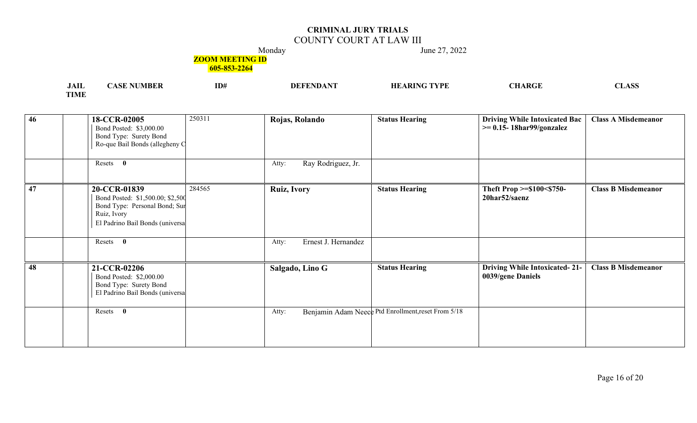## COUNTY COURT AT LAW III

Monday June 27, 2022

#### **ZOOM MEETING ID**

| .<br>JAIL   | UMBEI<br>ASE | ID# | DE | <b>TYPE</b><br>\ DINT<br>HF<br>٦R | <b>CHARGE</b> | $\triangle$ CC<br>NТ<br>the contract of the contract of the contract of the contract of the contract of the contract of the contract of |
|-------------|--------------|-----|----|-----------------------------------|---------------|-----------------------------------------------------------------------------------------------------------------------------------------|
| <b>TIME</b> |              |     |    |                                   |               |                                                                                                                                         |

| $\overline{46}$ | 250311<br>18-CCR-02005<br>Bond Posted: \$3,000.00<br>Bond Type: Surety Bond<br>Ro-que Bail Bonds (allegheny C                                 | Rojas, Rolando               | <b>Status Hearing</b>                               | <b>Driving While Intoxicated Bac</b><br>$\geq$ 0.15-18har99/gonzalez | <b>Class A Misdemeanor</b> |
|-----------------|-----------------------------------------------------------------------------------------------------------------------------------------------|------------------------------|-----------------------------------------------------|----------------------------------------------------------------------|----------------------------|
|                 | Resets 0                                                                                                                                      | Ray Rodriguez, Jr.<br>Atty:  |                                                     |                                                                      |                            |
| $\overline{47}$ | 284565<br>20-CCR-01839<br>Bond Posted: \$1,500.00; \$2,500<br>Bond Type: Personal Bond; Sur<br>Ruiz, Ivory<br>El Padrino Bail Bonds (universa | <b>Ruiz, Ivory</b>           | <b>Status Hearing</b>                               | Theft Prop >=\$100<\$750-<br>20har52/saenz                           | <b>Class B Misdemeanor</b> |
|                 | Resets 0                                                                                                                                      | Ernest J. Hernandez<br>Atty: |                                                     |                                                                      |                            |
| 48              | 21-CCR-02206<br>Bond Posted: \$2,000.00<br>Bond Type: Surety Bond<br>El Padrino Bail Bonds (universa                                          | Salgado, Lino G              | <b>Status Hearing</b>                               | <b>Driving While Intoxicated-21-</b><br>0039/gene Daniels            | <b>Class B Misdemeanor</b> |
|                 | $\bf{0}$<br>Resets                                                                                                                            | Atty:                        | Benjamin Adam Neece Ptd Enrollment, reset From 5/18 |                                                                      |                            |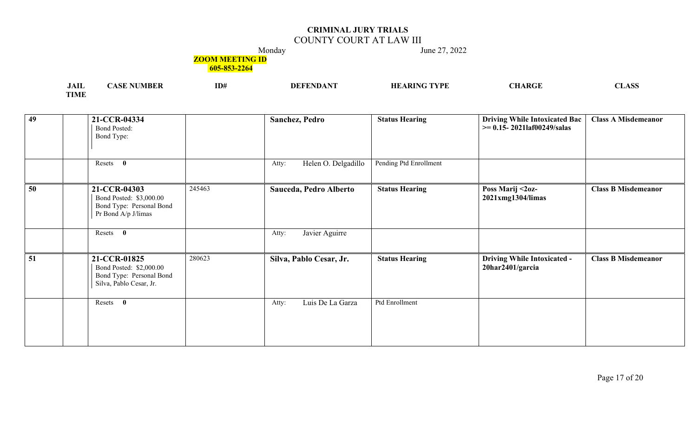## COUNTY COURT AT LAW III

Monday June 27, 2022

### **ZOOM MEETING ID**

| <b>JAIL</b> | <b>NUMBER</b><br>'ASF | ID# | DEE | HЕ<br>$\mathbf{T}$ $\mathbf{V}$ $\mathbf{P}$ $\mathbf{E}$<br>$\blacksquare$ | ARGI | A CC<br>LADJ |
|-------------|-----------------------|-----|-----|-----------------------------------------------------------------------------|------|--------------|
| <b>TIME</b> |                       |     |     |                                                                             |      |              |

| 49              | 21-CCR-04334<br><b>Bond Posted:</b><br>Bond Type:                                                        | Sanchez, Pedro               | <b>Status Hearing</b>  | <b>Driving While Intoxicated Bac</b><br>$\geq$ 0.15-2021laf00249/salas | <b>Class A Misdemeanor</b> |
|-----------------|----------------------------------------------------------------------------------------------------------|------------------------------|------------------------|------------------------------------------------------------------------|----------------------------|
|                 | Resets 0                                                                                                 | Helen O. Delgadillo<br>Atty: | Pending Ptd Enrollment |                                                                        |                            |
| 50              | 245463<br>21-CCR-04303<br>Bond Posted: \$3,000.00<br>Bond Type: Personal Bond<br>Pr Bond A/p J/limas     | Sauceda, Pedro Alberto       | <b>Status Hearing</b>  | Poss Marij <2oz-<br>2021xmg1304/limas                                  | <b>Class B Misdemeanor</b> |
|                 | $\bf{0}$<br>Resets                                                                                       | Javier Aguirre<br>Atty:      |                        |                                                                        |                            |
| $\overline{51}$ | 280623<br>21-CCR-01825<br>Bond Posted: \$2,000.00<br>Bond Type: Personal Bond<br>Silva, Pablo Cesar, Jr. | Silva, Pablo Cesar, Jr.      | <b>Status Hearing</b>  | <b>Driving While Intoxicated -</b><br>20har2401/garcia                 | <b>Class B Misdemeanor</b> |
|                 | Resets 0                                                                                                 | Luis De La Garza<br>Atty:    | Ptd Enrollment         |                                                                        |                            |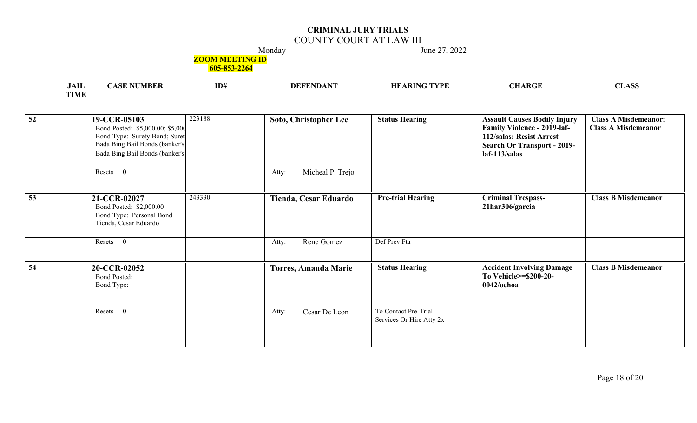## COUNTY COURT AT LAW III

Monday June 27, 2022

### **ZOOM MEETING ID**

| .<br><b>JAIL</b> | <b>WBER</b><br>$\sim$ | ID# | $.0$ ANT<br><b>DEFEND</b> | TYPE - | <b>ACC</b><br>. |
|------------------|-----------------------|-----|---------------------------|--------|-----------------|
| TIME             |                       |     |                           |        |                 |

| $\overline{52}$ | 19-CCR-05103<br>Bond Posted: \$5,000.00; \$5,000<br>Bond Type: Surety Bond; Suret<br>Bada Bing Bail Bonds (banker's<br>Bada Bing Bail Bonds (banker's | 223188 | <b>Soto, Christopher Lee</b> | <b>Status Hearing</b>                            | <b>Assault Causes Bodily Injury</b><br><b>Family Violence - 2019-laf-</b><br>112/salas; Resist Arrest<br><b>Search Or Transport - 2019-</b><br>$laf-113/salas$ | <b>Class A Misdemeanor;</b><br><b>Class A Misdemeanor</b> |
|-----------------|-------------------------------------------------------------------------------------------------------------------------------------------------------|--------|------------------------------|--------------------------------------------------|----------------------------------------------------------------------------------------------------------------------------------------------------------------|-----------------------------------------------------------|
|                 | Resets 0                                                                                                                                              |        | Micheal P. Trejo<br>Atty:    |                                                  |                                                                                                                                                                |                                                           |
| $\overline{53}$ | 21-CCR-02027<br>Bond Posted: \$2,000.00<br>Bond Type: Personal Bond<br>Tienda, Cesar Eduardo                                                          | 243330 | Tienda, Cesar Eduardo        | <b>Pre-trial Hearing</b>                         | <b>Criminal Trespass-</b><br>21har306/garcia                                                                                                                   | <b>Class B Misdemeanor</b>                                |
|                 | Resets 0                                                                                                                                              |        | Rene Gomez<br>Atty:          | Def Prev Fta                                     |                                                                                                                                                                |                                                           |
| 54              | 20-CCR-02052<br><b>Bond Posted:</b><br>Bond Type:                                                                                                     |        | <b>Torres, Amanda Marie</b>  | <b>Status Hearing</b>                            | <b>Accident Involving Damage</b><br>To Vehicle>=\$200-20-<br>$0042$ /ochoa                                                                                     | <b>Class B Misdemeanor</b>                                |
|                 | Resets<br>$\mathbf{0}$                                                                                                                                |        | Cesar De Leon<br>Atty:       | To Contact Pre-Trial<br>Services Or Hire Atty 2x |                                                                                                                                                                |                                                           |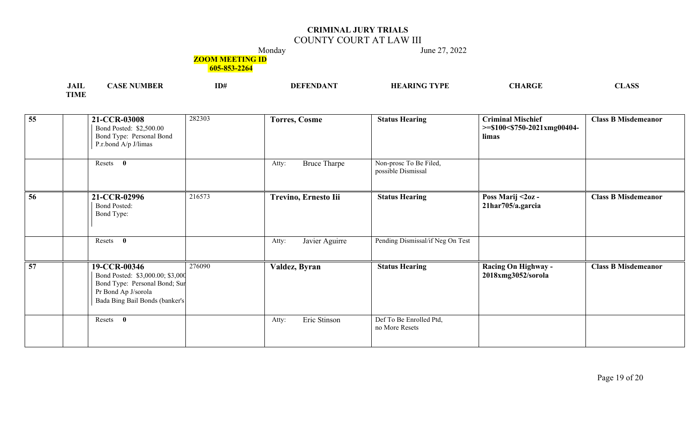## COUNTY COURT AT LAW III

Monday June 27, 2022

### **ZOOM MEETING ID**

| <b>JAIL</b> | CТ<br>/IBLK<br>-831. | ID# | <b>ARING TYPE</b><br>HF | CHARGE | $\triangle$ CC<br>nt. |
|-------------|----------------------|-----|-------------------------|--------|-----------------------|
| <b>TIME</b> |                      |     |                         |        |                       |

| 55              | 21-CCR-03008<br>Bond Posted: \$2,500.00<br>Bond Type: Personal Bond<br>P.r.bond A/p J/limas                                                | 282303 | <b>Torres, Cosme</b>         | <b>Status Hearing</b>                        | <b>Criminal Mischief</b><br>$>=$ \$100<\$750-2021xmg00404-<br>limas | <b>Class B Misdemeanor</b> |
|-----------------|--------------------------------------------------------------------------------------------------------------------------------------------|--------|------------------------------|----------------------------------------------|---------------------------------------------------------------------|----------------------------|
|                 | Resets 0                                                                                                                                   |        | <b>Bruce Tharpe</b><br>Atty: | Non-prosc To Be Filed,<br>possible Dismissal |                                                                     |                            |
| 56              | 21-CCR-02996<br><b>Bond Posted:</b><br>Bond Type:                                                                                          | 216573 | Trevino, Ernesto Iii         | <b>Status Hearing</b>                        | Poss Marij < 20z -<br>21har705/a.garcia                             | <b>Class B Misdemeanor</b> |
|                 | Resets<br>$\bf{0}$                                                                                                                         |        | Javier Aguirre<br>Atty:      | Pending Dismissal/if Neg On Test             |                                                                     |                            |
| $\overline{57}$ | 19-CCR-00346<br>Bond Posted: \$3,000.00; \$3,000<br>Bond Type: Personal Bond; Sur<br>Pr Bond Ap J/sorola<br>Bada Bing Bail Bonds (banker's | 276090 | Valdez, Byran                | <b>Status Hearing</b>                        | Racing On Highway -<br>2018xmg3052/sorola                           | <b>Class B Misdemeanor</b> |
|                 | Resets<br>$\bf{0}$                                                                                                                         |        | Eric Stinson<br>Atty:        | Def To Be Enrolled Ptd,<br>no More Resets    |                                                                     |                            |